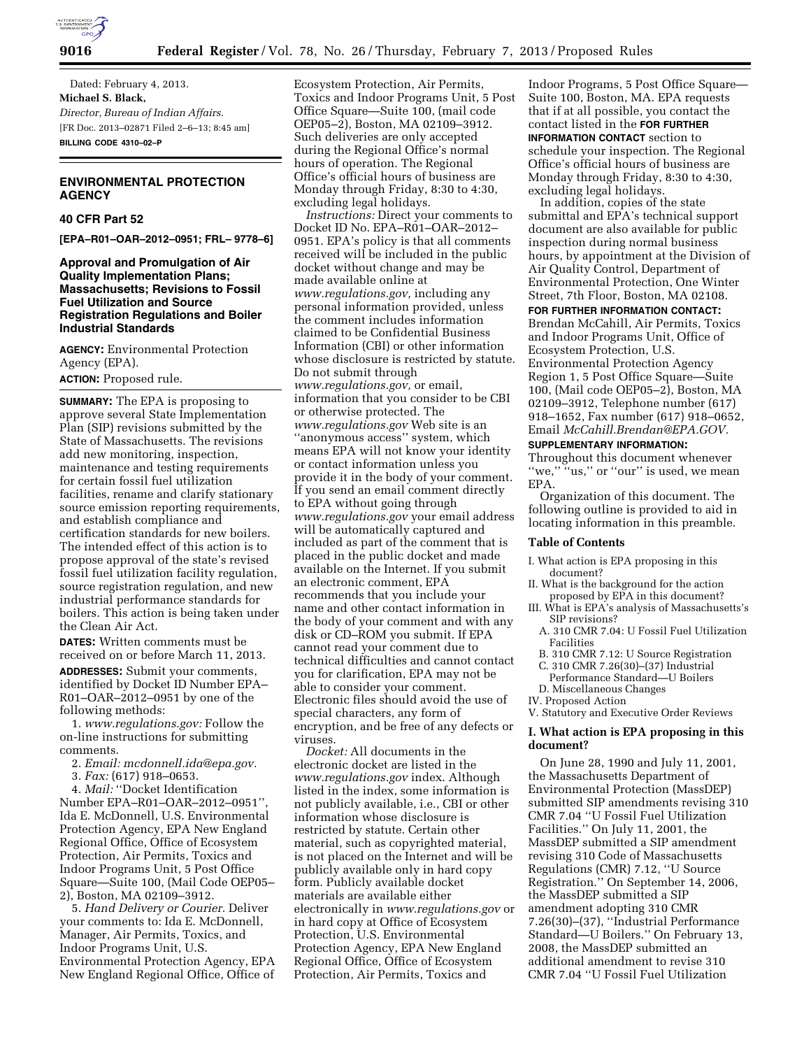

Dated: February 4, 2013. **Michael S. Black,**  *Director, Bureau of Indian Affairs.*  [FR Doc. 2013–02871 Filed 2–6–13; 8:45 am] **BILLING CODE 4310–02–P** 

# **ENVIRONMENTAL PROTECTION AGENCY**

#### **40 CFR Part 52**

**[EPA–R01–OAR–2012–0951; FRL– 9778–6]** 

## **Approval and Promulgation of Air Quality Implementation Plans; Massachusetts; Revisions to Fossil Fuel Utilization and Source Registration Regulations and Boiler Industrial Standards**

**AGENCY:** Environmental Protection Agency (EPA).

# **ACTION:** Proposed rule.

**SUMMARY:** The EPA is proposing to approve several State Implementation Plan (SIP) revisions submitted by the State of Massachusetts. The revisions add new monitoring, inspection, maintenance and testing requirements for certain fossil fuel utilization facilities, rename and clarify stationary source emission reporting requirements, and establish compliance and certification standards for new boilers. The intended effect of this action is to propose approval of the state's revised fossil fuel utilization facility regulation, source registration regulation, and new industrial performance standards for boilers. This action is being taken under the Clean Air Act.

**DATES:** Written comments must be received on or before March 11, 2013. **ADDRESSES:** Submit your comments, identified by Docket ID Number EPA– R01–OAR–2012–0951 by one of the following methods:

1. *[www.regulations.gov:](http://www.regulations.gov)* Follow the on-line instructions for submitting comments.

2. *Email: [mcdonnell.ida@epa.gov.](mailto:mcdonnell.ida@epa.gov)* 

3. *Fax:* (617) 918–0653.

4. *Mail:* ''Docket Identification Number EPA–R01–OAR–2012–0951'', Ida E. McDonnell, U.S. Environmental Protection Agency, EPA New England Regional Office, Office of Ecosystem Protection, Air Permits, Toxics and Indoor Programs Unit, 5 Post Office Square—Suite 100, (Mail Code OEP05– 2), Boston, MA 02109–3912.

5. *Hand Delivery or Courier.* Deliver your comments to: Ida E. McDonnell, Manager, Air Permits, Toxics, and Indoor Programs Unit, U.S. Environmental Protection Agency, EPA New England Regional Office, Office of Ecosystem Protection, Air Permits, Toxics and Indoor Programs Unit, 5 Post Office Square—Suite 100, (mail code OEP05–2), Boston, MA 02109–3912. Such deliveries are only accepted during the Regional Office's normal hours of operation. The Regional Office's official hours of business are Monday through Friday, 8:30 to 4:30, excluding legal holidays.

*Instructions:* Direct your comments to Docket ID No. EPA–R01–OAR–2012– 0951. EPA's policy is that all comments received will be included in the public docket without change and may be made available online at *[www.regulations.gov,](http://www.regulations.gov)* including any personal information provided, unless the comment includes information claimed to be Confidential Business Information (CBI) or other information whose disclosure is restricted by statute. Do not submit through *[www.regulations.gov,](http://www.regulations.gov)* or email, information that you consider to be CBI or otherwise protected. The *[www.regulations.gov](http://www.regulations.gov)* Web site is an ''anonymous access'' system, which means EPA will not know your identity or contact information unless you provide it in the body of your comment. If you send an email comment directly to EPA without going through *[www.regulations.gov](http://www.regulations.gov)* your email address will be automatically captured and included as part of the comment that is placed in the public docket and made available on the Internet. If you submit an electronic comment, EPA recommends that you include your name and other contact information in the body of your comment and with any disk or CD–ROM you submit. If EPA cannot read your comment due to technical difficulties and cannot contact you for clarification, EPA may not be able to consider your comment. Electronic files should avoid the use of special characters, any form of encryption, and be free of any defects or viruses.

*Docket:* All documents in the electronic docket are listed in the *[www.regulations.gov](http://www.regulations.gov)* index. Although listed in the index, some information is not publicly available, i.e., CBI or other information whose disclosure is restricted by statute. Certain other material, such as copyrighted material, is not placed on the Internet and will be publicly available only in hard copy form. Publicly available docket materials are available either electronically in *[www.regulations.gov](http://www.regulations.gov)* or in hard copy at Office of Ecosystem Protection, U.S. Environmental Protection Agency, EPA New England Regional Office, Office of Ecosystem Protection, Air Permits, Toxics and

Indoor Programs, 5 Post Office Square— Suite 100, Boston, MA. EPA requests that if at all possible, you contact the contact listed in the **FOR FURTHER INFORMATION CONTACT** section to schedule your inspection. The Regional Office's official hours of business are Monday through Friday, 8:30 to 4:30, excluding legal holidays.

In addition, copies of the state submittal and EPA's technical support document are also available for public inspection during normal business hours, by appointment at the Division of Air Quality Control, Department of Environmental Protection, One Winter Street, 7th Floor, Boston, MA 02108.

**FOR FURTHER INFORMATION CONTACT:**  Brendan McCahill, Air Permits, Toxics and Indoor Programs Unit, Office of Ecosystem Protection, U.S. Environmental Protection Agency Region 1, 5 Post Office Square—Suite 100, (Mail code OEP05–2), Boston, MA 02109–3912, Telephone number (617) 918–1652, Fax number (617) 918–0652, Email *[McCahill.Brendan@EPA.GOV.](mailto:McCahill.Brendan@EPA.GOV)* 

# **SUPPLEMENTARY INFORMATION:**

Throughout this document whenever "we," "us," or "our" is used, we mean EPA.

Organization of this document. The following outline is provided to aid in locating information in this preamble.

#### **Table of Contents**

- I. What action is EPA proposing in this document?
- II. What is the background for the action proposed by EPA in this document?
- III. What is EPA's analysis of Massachusetts's SIP revisions?
	- A. 310 CMR 7.04: U Fossil Fuel Utilization Facilities
	- B. 310 CMR 7.12: U Source Registration
- C. 310 CMR 7.26(30)–(37) Industrial
- Performance Standard—U Boilers
- D. Miscellaneous Changes
- IV. Proposed Action

#### V. Statutory and Executive Order Reviews

#### **I. What action is EPA proposing in this document?**

On June 28, 1990 and July 11, 2001, the Massachusetts Department of Environmental Protection (MassDEP) submitted SIP amendments revising 310 CMR 7.04 ''U Fossil Fuel Utilization Facilities.'' On July 11, 2001, the MassDEP submitted a SIP amendment revising 310 Code of Massachusetts Regulations (CMR) 7.12, ''U Source Registration.'' On September 14, 2006, the MassDEP submitted a SIP amendment adopting 310 CMR 7.26(30)–(37), ''Industrial Performance Standard—U Boilers.'' On February 13, 2008, the MassDEP submitted an additional amendment to revise 310 CMR 7.04 ''U Fossil Fuel Utilization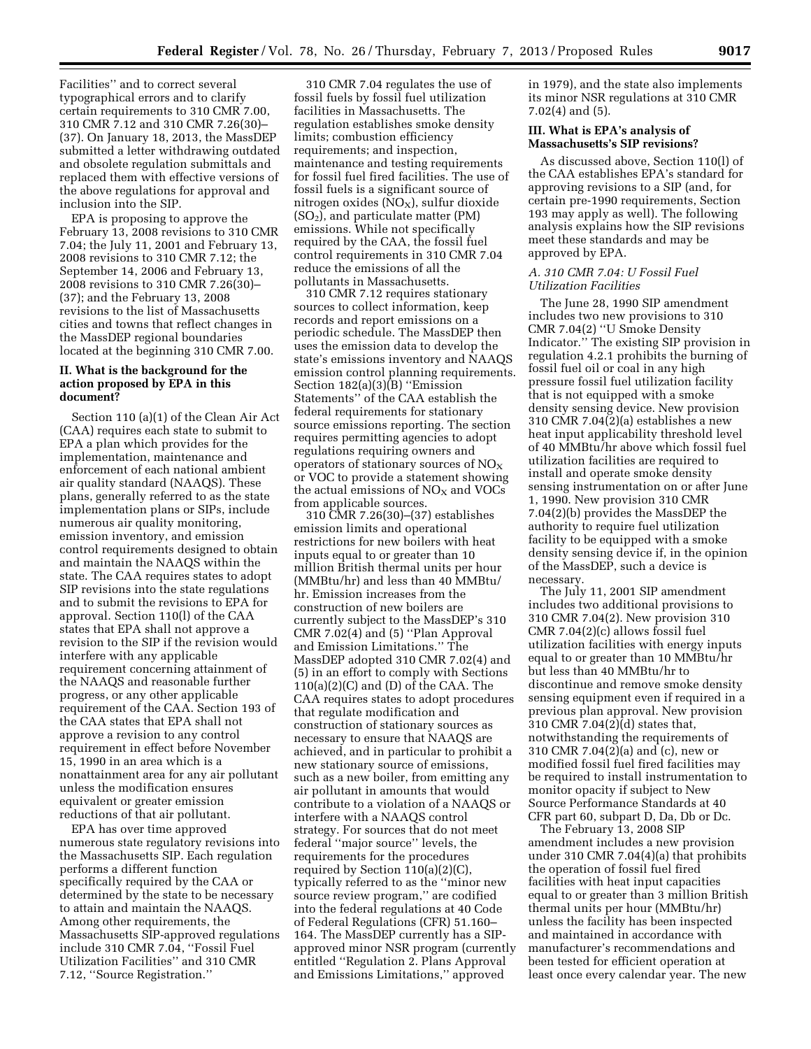Facilities'' and to correct several typographical errors and to clarify certain requirements to 310 CMR 7.00, 310 CMR 7.12 and 310 CMR 7.26(30)– (37). On January 18, 2013, the MassDEP submitted a letter withdrawing outdated and obsolete regulation submittals and replaced them with effective versions of the above regulations for approval and inclusion into the SIP.

EPA is proposing to approve the February 13, 2008 revisions to 310 CMR 7.04; the July 11, 2001 and February 13, 2008 revisions to 310 CMR 7.12; the September 14, 2006 and February 13, 2008 revisions to 310 CMR 7.26(30)– (37); and the February 13, 2008 revisions to the list of Massachusetts cities and towns that reflect changes in the MassDEP regional boundaries located at the beginning 310 CMR 7.00.

# **II. What is the background for the action proposed by EPA in this document?**

Section 110 (a)(1) of the Clean Air Act (CAA) requires each state to submit to EPA a plan which provides for the implementation, maintenance and enforcement of each national ambient air quality standard (NAAQS). These plans, generally referred to as the state implementation plans or SIPs, include numerous air quality monitoring, emission inventory, and emission control requirements designed to obtain and maintain the NAAQS within the state. The CAA requires states to adopt SIP revisions into the state regulations and to submit the revisions to EPA for approval. Section 110(l) of the CAA states that EPA shall not approve a revision to the SIP if the revision would interfere with any applicable requirement concerning attainment of the NAAQS and reasonable further progress, or any other applicable requirement of the CAA. Section 193 of the CAA states that EPA shall not approve a revision to any control requirement in effect before November 15, 1990 in an area which is a nonattainment area for any air pollutant unless the modification ensures equivalent or greater emission reductions of that air pollutant.

EPA has over time approved numerous state regulatory revisions into the Massachusetts SIP. Each regulation performs a different function specifically required by the CAA or determined by the state to be necessary to attain and maintain the NAAQS. Among other requirements, the Massachusetts SIP-approved regulations include 310 CMR 7.04, ''Fossil Fuel Utilization Facilities'' and 310 CMR 7.12, ''Source Registration.''

310 CMR 7.04 regulates the use of fossil fuels by fossil fuel utilization facilities in Massachusetts. The regulation establishes smoke density limits; combustion efficiency requirements; and inspection, maintenance and testing requirements for fossil fuel fired facilities. The use of fossil fuels is a significant source of nitrogen oxides  $(NO<sub>X</sub>)$ , sulfur dioxide (SO2), and particulate matter (PM) emissions. While not specifically required by the CAA, the fossil fuel control requirements in 310 CMR 7.04 reduce the emissions of all the pollutants in Massachusetts.

310 CMR 7.12 requires stationary sources to collect information, keep records and report emissions on a periodic schedule. The MassDEP then uses the emission data to develop the state's emissions inventory and NAAQS emission control planning requirements. Section 182(a)(3)(B) ''Emission Statements'' of the CAA establish the federal requirements for stationary source emissions reporting. The section requires permitting agencies to adopt regulations requiring owners and operators of stationary sources of  $NO<sub>x</sub>$ or VOC to provide a statement showing the actual emissions of  $NO<sub>X</sub>$  and VOCs from applicable sources.

310 CMR 7.26(30)–(37) establishes emission limits and operational restrictions for new boilers with heat inputs equal to or greater than 10 million British thermal units per hour (MMBtu/hr) and less than 40 MMBtu/ hr. Emission increases from the construction of new boilers are currently subject to the MassDEP's 310 CMR 7.02(4) and (5) ''Plan Approval and Emission Limitations.'' The MassDEP adopted 310 CMR 7.02(4) and (5) in an effort to comply with Sections  $110(a)(2)(C)$  and  $(D)$  of the CAA. The CAA requires states to adopt procedures that regulate modification and construction of stationary sources as necessary to ensure that NAAQS are achieved, and in particular to prohibit a new stationary source of emissions, such as a new boiler, from emitting any air pollutant in amounts that would contribute to a violation of a NAAQS or interfere with a NAAQS control strategy. For sources that do not meet federal ''major source'' levels, the requirements for the procedures required by Section 110(a)(2)(C), typically referred to as the ''minor new source review program,'' are codified into the federal regulations at 40 Code of Federal Regulations (CFR) 51.160– 164. The MassDEP currently has a SIPapproved minor NSR program (currently entitled ''Regulation 2. Plans Approval and Emissions Limitations,'' approved

in 1979), and the state also implements its minor NSR regulations at 310 CMR 7.02(4) and (5).

# **III. What is EPA's analysis of Massachusetts's SIP revisions?**

As discussed above, Section 110(l) of the CAA establishes EPA's standard for approving revisions to a SIP (and, for certain pre-1990 requirements, Section 193 may apply as well). The following analysis explains how the SIP revisions meet these standards and may be approved by EPA.

### *A. 310 CMR 7.04: U Fossil Fuel Utilization Facilities*

The June 28, 1990 SIP amendment includes two new provisions to 310 CMR 7.04(2) ''U Smoke Density Indicator.'' The existing SIP provision in regulation 4.2.1 prohibits the burning of fossil fuel oil or coal in any high pressure fossil fuel utilization facility that is not equipped with a smoke density sensing device. New provision 310 CMR 7.04(2)(a) establishes a new heat input applicability threshold level of 40 MMBtu/hr above which fossil fuel utilization facilities are required to install and operate smoke density sensing instrumentation on or after June 1, 1990. New provision 310 CMR 7.04(2)(b) provides the MassDEP the authority to require fuel utilization facility to be equipped with a smoke density sensing device if, in the opinion of the MassDEP, such a device is necessary.

The July 11, 2001 SIP amendment includes two additional provisions to 310 CMR 7.04(2). New provision 310 CMR 7.04(2)(c) allows fossil fuel utilization facilities with energy inputs equal to or greater than 10 MMBtu/hr but less than 40 MMBtu/hr to discontinue and remove smoke density sensing equipment even if required in a previous plan approval. New provision 310 CMR 7.04(2)(d) states that, notwithstanding the requirements of 310 CMR 7.04(2)(a) and (c), new or modified fossil fuel fired facilities may be required to install instrumentation to monitor opacity if subject to New Source Performance Standards at 40 CFR part 60, subpart D, Da, Db or Dc.

The February 13, 2008 SIP amendment includes a new provision under 310 CMR 7.04(4)(a) that prohibits the operation of fossil fuel fired facilities with heat input capacities equal to or greater than 3 million British thermal units per hour (MMBtu/hr) unless the facility has been inspected and maintained in accordance with manufacturer's recommendations and been tested for efficient operation at least once every calendar year. The new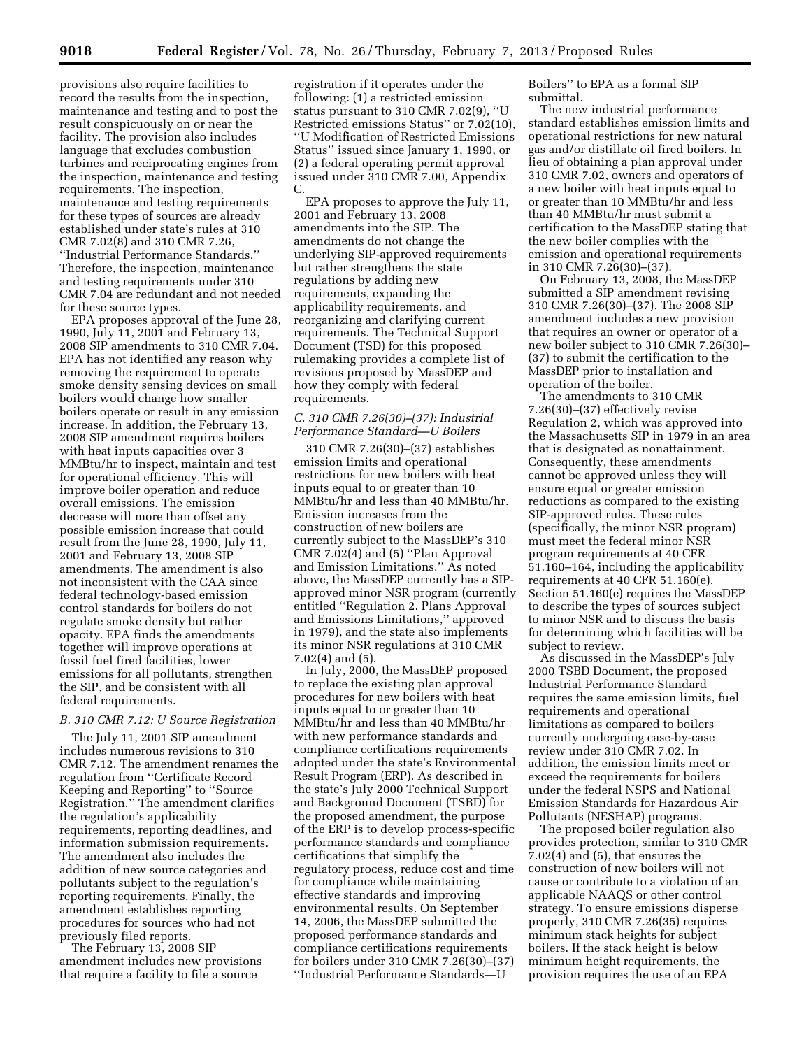provisions also require facilities to record the results from the inspection, maintenance and testing and to post the result conspicuously on or near the facility. The provision also includes language that excludes combustion turbines and reciprocating engines from the inspection, maintenance and testing requirements. The inspection, maintenance and testing requirements for these types of sources are already established under state's rules at 310 CMR 7.02(8) and 310 CMR 7.26, ''Industrial Performance Standards.'' Therefore, the inspection, maintenance and testing requirements under 310 CMR 7.04 are redundant and not needed for these source types.

EPA proposes approval of the June 28, 1990, July 11, 2001 and February 13, 2008 SIP amendments to 310 CMR 7.04. EPA has not identified any reason why removing the requirement to operate smoke density sensing devices on small boilers would change how smaller boilers operate or result in any emission increase. In addition, the February 13, 2008 SIP amendment requires boilers with heat inputs capacities over 3 MMBtu/hr to inspect, maintain and test for operational efficiency. This will improve boiler operation and reduce overall emissions. The emission decrease will more than offset any possible emission increase that could result from the June 28, 1990, July 11, 2001 and February 13, 2008 SIP amendments. The amendment is also not inconsistent with the CAA since federal technology-based emission control standards for boilers do not regulate smoke density but rather opacity. EPA finds the amendments together will improve operations at fossil fuel fired facilities, lower emissions for all pollutants, strengthen the SIP, and be consistent with all federal requirements.

# *B. 310 CMR 7.12: U Source Registration*

The July 11, 2001 SIP amendment includes numerous revisions to 310 CMR 7.12. The amendment renames the regulation from ''Certificate Record Keeping and Reporting'' to ''Source Registration.'' The amendment clarifies the regulation's applicability requirements, reporting deadlines, and information submission requirements. The amendment also includes the addition of new source categories and pollutants subject to the regulation's reporting requirements. Finally, the amendment establishes reporting procedures for sources who had not previously filed reports.

The February 13, 2008 SIP amendment includes new provisions that require a facility to file a source

registration if it operates under the following: (1) a restricted emission status pursuant to 310 CMR 7.02(9), ''U Restricted emissions Status'' or 7.02(10), ''U Modification of Restricted Emissions Status'' issued since January 1, 1990, or (2) a federal operating permit approval issued under 310 CMR 7.00, Appendix C.

EPA proposes to approve the July 11, 2001 and February 13, 2008 amendments into the SIP. The amendments do not change the underlying SIP-approved requirements but rather strengthens the state regulations by adding new requirements, expanding the applicability requirements, and reorganizing and clarifying current requirements. The Technical Support Document (TSD) for this proposed rulemaking provides a complete list of revisions proposed by MassDEP and how they comply with federal requirements.

#### *C. 310 CMR 7.26(30)–(37): Industrial Performance Standard—U Boilers*

310 CMR 7.26(30)–(37) establishes emission limits and operational restrictions for new boilers with heat inputs equal to or greater than 10 MMBtu/hr and less than 40 MMBtu/hr. Emission increases from the construction of new boilers are currently subject to the MassDEP's 310 CMR 7.02(4) and (5) ''Plan Approval and Emission Limitations.'' As noted above, the MassDEP currently has a SIPapproved minor NSR program (currently entitled ''Regulation 2. Plans Approval and Emissions Limitations,'' approved in 1979), and the state also implements its minor NSR regulations at 310 CMR 7.02(4) and (5).

In July, 2000, the MassDEP proposed to replace the existing plan approval procedures for new boilers with heat inputs equal to or greater than 10 MMBtu/hr and less than 40 MMBtu/hr with new performance standards and compliance certifications requirements adopted under the state's Environmental Result Program (ERP). As described in the state's July 2000 Technical Support and Background Document (TSBD) for the proposed amendment, the purpose of the ERP is to develop process-specific performance standards and compliance certifications that simplify the regulatory process, reduce cost and time for compliance while maintaining effective standards and improving environmental results. On September 14, 2006, the MassDEP submitted the proposed performance standards and compliance certifications requirements for boilers under 310 CMR 7.26(30)–(37) ''Industrial Performance Standards—U

Boilers'' to EPA as a formal SIP submittal.

The new industrial performance standard establishes emission limits and operational restrictions for new natural gas and/or distillate oil fired boilers. In lieu of obtaining a plan approval under 310 CMR 7.02, owners and operators of a new boiler with heat inputs equal to or greater than 10 MMBtu/hr and less than 40 MMBtu/hr must submit a certification to the MassDEP stating that the new boiler complies with the emission and operational requirements in 310 CMR 7.26(30)–(37).

On February 13, 2008, the MassDEP submitted a SIP amendment revising 310 CMR 7.26(30)–(37). The 2008 SIP amendment includes a new provision that requires an owner or operator of a new boiler subject to 310 CMR 7.26(30)– (37) to submit the certification to the MassDEP prior to installation and operation of the boiler.

The amendments to 310 CMR 7.26(30)–(37) effectively revise Regulation 2, which was approved into the Massachusetts SIP in 1979 in an area that is designated as nonattainment. Consequently, these amendments cannot be approved unless they will ensure equal or greater emission reductions as compared to the existing SIP-approved rules. These rules (specifically, the minor NSR program) must meet the federal minor NSR program requirements at 40 CFR 51.160–164, including the applicability requirements at 40 CFR 51.160(e). Section 51.160(e) requires the MassDEP to describe the types of sources subject to minor NSR and to discuss the basis for determining which facilities will be subject to review.

As discussed in the MassDEP's July 2000 TSBD Document, the proposed Industrial Performance Standard requires the same emission limits, fuel requirements and operational limitations as compared to boilers currently undergoing case-by-case review under 310 CMR 7.02. In addition, the emission limits meet or exceed the requirements for boilers under the federal NSPS and National Emission Standards for Hazardous Air Pollutants (NESHAP) programs.

The proposed boiler regulation also provides protection, similar to 310 CMR 7.02(4) and (5), that ensures the construction of new boilers will not cause or contribute to a violation of an applicable NAAQS or other control strategy. To ensure emissions disperse properly, 310 CMR 7.26(35) requires minimum stack heights for subject boilers. If the stack height is below minimum height requirements, the provision requires the use of an EPA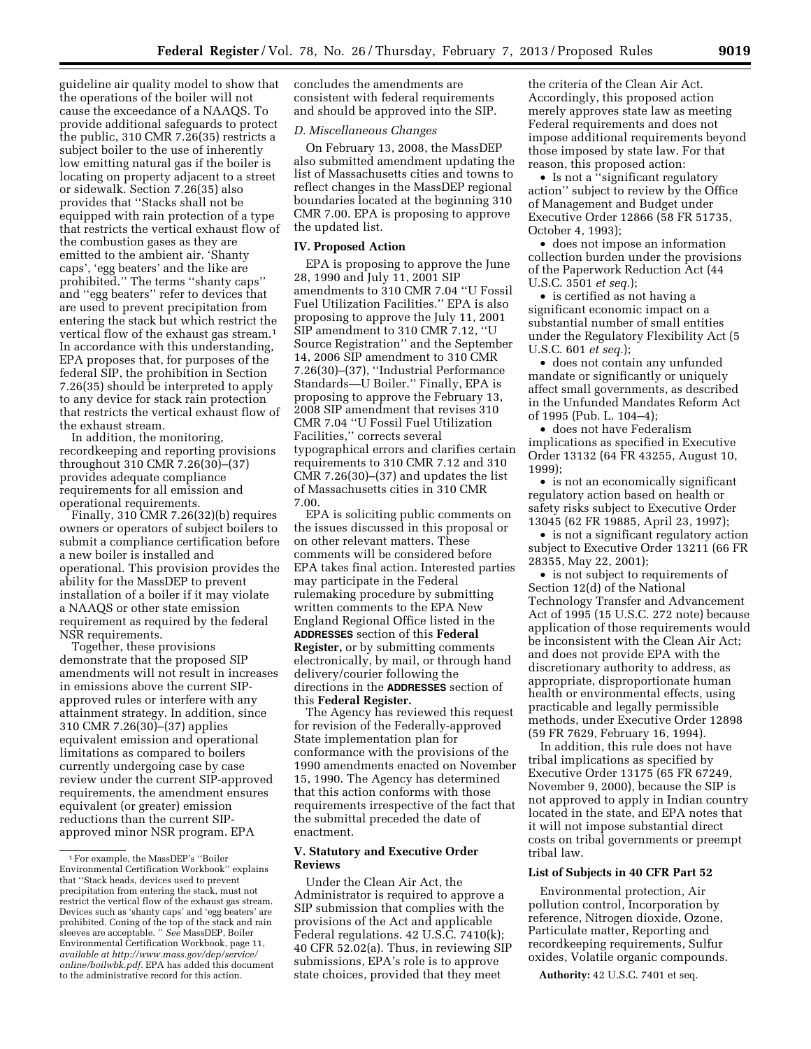guideline air quality model to show that the operations of the boiler will not cause the exceedance of a NAAQS. To provide additional safeguards to protect the public, 310 CMR 7.26(35) restricts a subject boiler to the use of inherently low emitting natural gas if the boiler is locating on property adjacent to a street or sidewalk. Section 7.26(35) also provides that ''Stacks shall not be equipped with rain protection of a type that restricts the vertical exhaust flow of the combustion gases as they are emitted to the ambient air. 'Shanty caps', 'egg beaters' and the like are prohibited.'' The terms ''shanty caps'' and ''egg beaters'' refer to devices that are used to prevent precipitation from entering the stack but which restrict the vertical flow of the exhaust gas stream.1 In accordance with this understanding, EPA proposes that, for purposes of the federal SIP, the prohibition in Section 7.26(35) should be interpreted to apply to any device for stack rain protection that restricts the vertical exhaust flow of the exhaust stream.

In addition, the monitoring, recordkeeping and reporting provisions throughout 310 CMR 7.26(30)–(37) provides adequate compliance requirements for all emission and operational requirements.

Finally, 310 CMR 7.26(32)(b) requires owners or operators of subject boilers to submit a compliance certification before a new boiler is installed and operational. This provision provides the ability for the MassDEP to prevent installation of a boiler if it may violate a NAAQS or other state emission requirement as required by the federal NSR requirements.

Together, these provisions demonstrate that the proposed SIP amendments will not result in increases in emissions above the current SIPapproved rules or interfere with any attainment strategy. In addition, since 310 CMR 7.26(30)–(37) applies equivalent emission and operational limitations as compared to boilers currently undergoing case by case review under the current SIP-approved requirements, the amendment ensures equivalent (or greater) emission reductions than the current SIPapproved minor NSR program. EPA

concludes the amendments are consistent with federal requirements and should be approved into the SIP.

#### *D. Miscellaneous Changes*

On February 13, 2008, the MassDEP also submitted amendment updating the list of Massachusetts cities and towns to reflect changes in the MassDEP regional boundaries located at the beginning 310 CMR 7.00. EPA is proposing to approve the updated list.

#### **IV. Proposed Action**

EPA is proposing to approve the June 28, 1990 and July 11, 2001 SIP amendments to 310 CMR 7.04 ''U Fossil Fuel Utilization Facilities.'' EPA is also proposing to approve the July 11, 2001 SIP amendment to 310 CMR 7.12, ''U Source Registration'' and the September 14, 2006 SIP amendment to 310 CMR 7.26(30)–(37), ''Industrial Performance Standards—U Boiler.'' Finally, EPA is proposing to approve the February 13, 2008 SIP amendment that revises 310 CMR 7.04 ''U Fossil Fuel Utilization Facilities,'' corrects several typographical errors and clarifies certain requirements to 310 CMR 7.12 and 310 CMR 7.26(30)–(37) and updates the list of Massachusetts cities in 310 CMR 7.00.

EPA is soliciting public comments on the issues discussed in this proposal or on other relevant matters. These comments will be considered before EPA takes final action. Interested parties may participate in the Federal rulemaking procedure by submitting written comments to the EPA New England Regional Office listed in the **ADDRESSES** section of this **Federal Register,** or by submitting comments electronically, by mail, or through hand delivery/courier following the directions in the **ADDRESSES** section of this **Federal Register.** 

The Agency has reviewed this request for revision of the Federally-approved State implementation plan for conformance with the provisions of the 1990 amendments enacted on November 15, 1990. The Agency has determined that this action conforms with those requirements irrespective of the fact that the submittal preceded the date of enactment.

#### **V. Statutory and Executive Order Reviews**

Under the Clean Air Act, the Administrator is required to approve a SIP submission that complies with the provisions of the Act and applicable Federal regulations. 42 U.S.C. 7410(k); 40 CFR 52.02(a). Thus, in reviewing SIP submissions, EPA's role is to approve state choices, provided that they meet

the criteria of the Clean Air Act. Accordingly, this proposed action merely approves state law as meeting Federal requirements and does not impose additional requirements beyond those imposed by state law. For that reason, this proposed action:

• Is not a "significant regulatory action'' subject to review by the Office of Management and Budget under Executive Order 12866 (58 FR 51735, October 4, 1993);

• does not impose an information collection burden under the provisions of the Paperwork Reduction Act (44 U.S.C. 3501 *et seq.*);

• is certified as not having a significant economic impact on a substantial number of small entities under the Regulatory Flexibility Act (5 U.S.C. 601 *et seq.*);

• does not contain any unfunded mandate or significantly or uniquely affect small governments, as described in the Unfunded Mandates Reform Act of 1995 (Pub. L. 104–4);

• does not have Federalism implications as specified in Executive Order 13132 (64 FR 43255, August 10, 1999);

• is not an economically significant regulatory action based on health or safety risks subject to Executive Order 13045 (62 FR 19885, April 23, 1997);

• is not a significant regulatory action subject to Executive Order 13211 (66 FR 28355, May 22, 2001);

• is not subject to requirements of Section 12(d) of the National Technology Transfer and Advancement Act of 1995 (15 U.S.C. 272 note) because application of those requirements would be inconsistent with the Clean Air Act; and does not provide EPA with the discretionary authority to address, as appropriate, disproportionate human health or environmental effects, using practicable and legally permissible methods, under Executive Order 12898 (59 FR 7629, February 16, 1994).

In addition, this rule does not have tribal implications as specified by Executive Order 13175 (65 FR 67249, November 9, 2000), because the SIP is not approved to apply in Indian country located in the state, and EPA notes that it will not impose substantial direct costs on tribal governments or preempt tribal law.

#### **List of Subjects in 40 CFR Part 52**

Environmental protection, Air pollution control, Incorporation by reference, Nitrogen dioxide, Ozone, Particulate matter, Reporting and recordkeeping requirements, Sulfur oxides, Volatile organic compounds.

**Authority:** 42 U.S.C. 7401 et seq.

<sup>1</sup>For example, the MassDEP's ''Boiler Environmental Certification Workbook'' explains that ''Stack heads, devices used to prevent precipitation from entering the stack, must not restrict the vertical flow of the exhaust gas stream. Devices such as 'shanty caps' and 'egg beaters' are prohibited. Coning of the top of the stack and rain sleeves are acceptable. '' *See* MassDEP, Boiler Environmental Certification Workbook, page 11, *available at [http://www.mass.gov/dep/service/](http://www.mass.gov/dep/service/online/boilwbk.pdf)  [online/boilwbk.pdf.](http://www.mass.gov/dep/service/online/boilwbk.pdf)* EPA has added this document to the administrative record for this action.